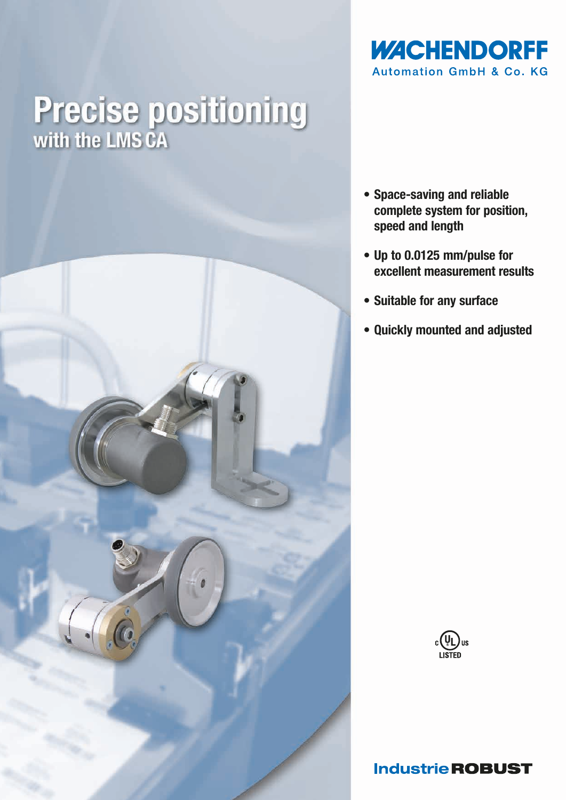

# **Precise positioning**<br>with the LMS CA



- Space-saving and reliable complete system for position, speed and length
- Up to 0.0125 mm/pulse for excellent measurement results
- Suitable for any surface
- Quickly mounted and adjusted



# **Industrie ROBUST**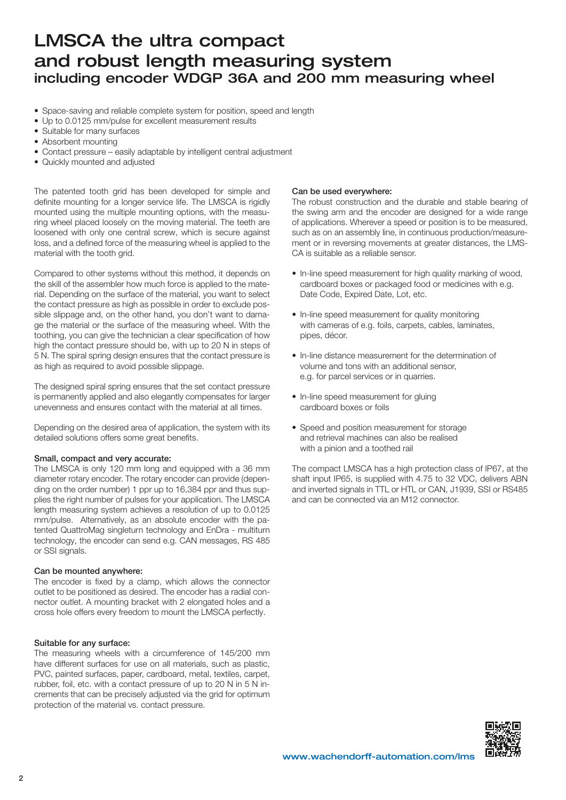# LMSCA the ultra compact and robust length measuring system including encoder WDGP 36A and 200 mm measuring wheel

- Space-saving and reliable complete system for position, speed and length
- Up to 0.0125 mm/pulse for excellent measurement results
- Suitable for many surfaces
- Absorbent mounting
- Contact pressure easily adaptable by intelligent central adjustment
- Quickly mounted and adjusted

The patented tooth grid has been developed for simple and definite mounting for a longer service life. The LMSCA is rigidly mounted using the multiple mounting options, with the measuring wheel placed loosely on the moving material. The teeth are loosened with only one central screw, which is secure against loss, and a defined force of the measuring wheel is applied to the material with the tooth grid.

Compared to other systems without this method, it depends on the skill of the assembler how much force is applied to the material. Depending on the surface of the material, you want to select the contact pressure as high as possible in order to exclude possible slippage and, on the other hand, you don't want to damage the material or the surface of the measuring wheel. With the toothing, you can give the technician a clear specification of how high the contact pressure should be, with up to 20 N in steps of 5 N. The spiral spring design ensures that the contact pressure is as high as required to avoid possible slippage.

The designed spiral spring ensures that the set contact pressure is permanently applied and also elegantly compensates for larger unevenness and ensures contact with the material at all times.

Depending on the desired area of application, the system with its detailed solutions offers some great benefits.

### Small, compact and very accurate:

The LMSCA is only 120 mm long and equipped with a 36 mm diameter rotary encoder. The rotary encoder can provide (depending on the order number) 1 ppr up to 16,384 ppr and thus supplies the right number of pulses for your application. The LMSCA length measuring system achieves a resolution of up to 0.0125 mm/pulse. Alternatively, as an absolute encoder with the patented QuattroMag singleturn technology and EnDra - multiturn technology, the encoder can send e.g. CAN messages, RS 485 or SSI signals.

### Can be mounted anywhere:

The encoder is fixed by a clamp, which allows the connector outlet to be positioned as desired. The encoder has a radial connector outlet. A mounting bracket with 2 elongated holes and a cross hole offers every freedom to mount the LMSCA perfectly.

### Suitable for any surface:

The measuring wheels with a circumference of 145/200 mm have different surfaces for use on all materials, such as plastic, PVC, painted surfaces, paper, cardboard, metal, textiles, carpet, rubber, foil, etc. with a contact pressure of up to 20 N in 5 N increments that can be precisely adjusted via the grid for optimum protection of the material vs. contact pressure.

#### Can be used everywhere:

The robust construction and the durable and stable bearing of the swing arm and the encoder are designed for a wide range of applications. Wherever a speed or position is to be measured, such as on an assembly line, in continuous production/measurement or in reversing movements at greater distances, the LMS-CA is suitable as a reliable sensor.

- In-line speed measurement for high quality marking of wood, cardboard boxes or packaged food or medicines with e.g. Date Code, Expired Date, Lot, etc.
- In-line speed measurement for quality monitoring with cameras of e.g. foils, carpets, cables, laminates, pipes, décor.
- In-line distance measurement for the determination of volume and tons with an additional sensor, e.g. for parcel services or in quarries.
- In-line speed measurement for gluing cardboard boxes or foils
- Speed and position measurement for storage and retrieval machines can also be realised with a pinion and a toothed rail

The compact LMSCA has a high protection class of IP67, at the shaft input IP65, is supplied with 4.75 to 32 VDC, delivers ABN and inverted signals in TTL or HTL or CAN, J1939, SSI or RS485 and can be connected via an M12 connector.

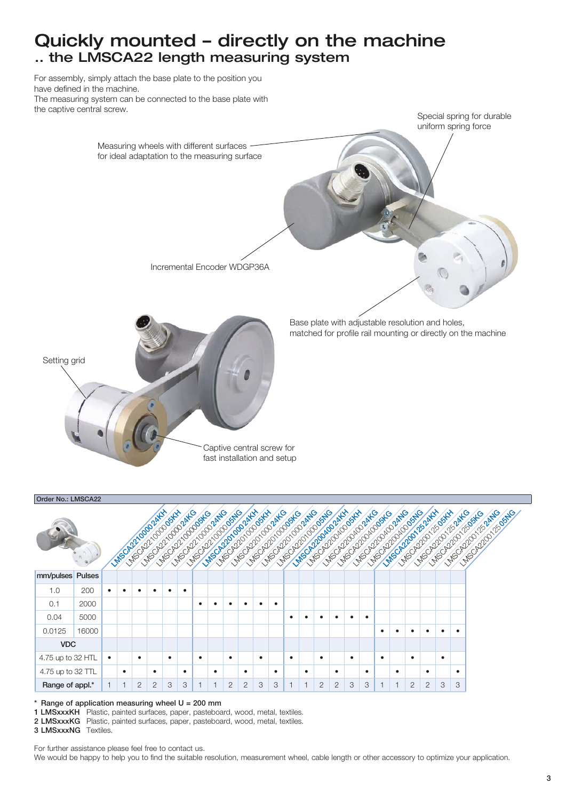# Quickly mounted – directly on the machine .. the LMSCA22 length measuring system

For assembly, simply attach the base plate to the position you have defined in the machine. The measuring system can be connected to the base plate with the captive central screw.





Range of application measuring wheel  $U = 200$  mm

1 LMSxxxKH Plastic, painted surfaces, paper, pasteboard, wood, metal, textiles.

2 LMSxxxKG Plastic, painted surfaces, paper, pasteboard, wood, metal, textiles.

3 LMSxxxNG Textiles.

For further assistance please feel free to contact us.

We would be happy to help you to find the suitable resolution, measurement wheel, cable length or other accessory to optimize your application.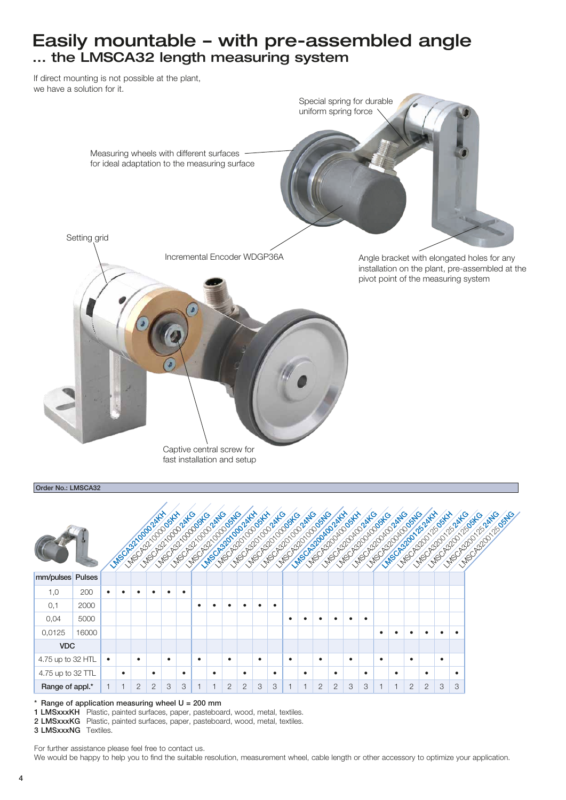# Easily mountable – with pre-assembled angle ... the LMSCA32 length measuring system

If direct mounting is not possible at the plant, we have a solution for it.



#### Order No.: LMSCA32 mm/pulses Pulses 1,0 200 • • • • • • 0,1 2000 • • • • • • 0,04 5000 • • • • • • 0,0125 16000 • • • • • • VDC 4.75 up to 32 HTL • • • • • • • • • • • • 4.75 up to 32 TTL • • • • • • • • • • • • **Range of appl.\*** | 1 | 1 | 2 | 2 | 3 | 3 | 1 | 1 | 2 | 2 | 3 | 3 | 3 | 1 | 1 | 2 | 2 | 3 | 3 | 1 | 1 | 2 | 2 | 3 | 3 LMSCA321000024KH LAMSCA320100024KH LAMSCA32040024KH LAMSCA32012524KH LMSCA3210000004 LMSCA320100005KH LANSCASOLING CORP LMSCA320125-2004 LAND ASSAULT - 1 LAMSCA32010024AG LASCASA CARE LAND CONDUCTION LASCASTIC COMPANY LASILING DIALOGUE LASCASCAS LAND LASCO DE CATALOGIE LAND COOPERTY LASO DO COLLEGE LANGUAN DE COMPAGN LASCASCASA RANG LAMSCA321000000000 LASIC USE OF CASAL LAND AND DOMESTIC LMSCA320012505NG

Range of application measuring wheel  $U = 200$  mm

1 LMSxxxKH Plastic, painted surfaces, paper, pasteboard, wood, metal, textiles.

2 LMSxxxKG Plastic, painted surfaces, paper, pasteboard, wood, metal, textiles.

3 LMSxxxNG Textiles.

For further assistance please feel free to contact us.

We would be happy to help you to find the suitable resolution, measurement wheel, cable length or other accessory to optimize your application.